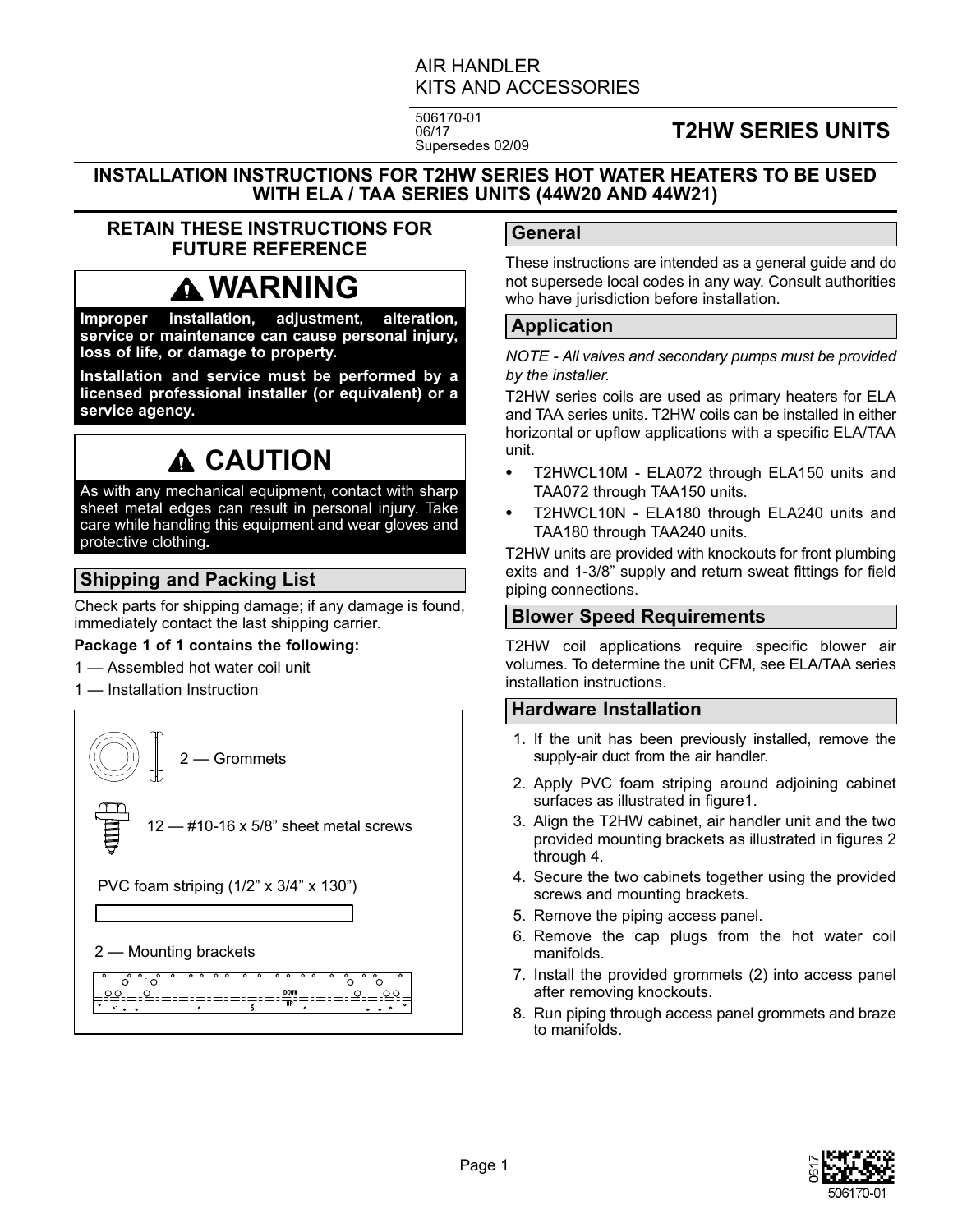#### AIR HANDLER KITS AND ACCESSORIES

506170-01 06/17 Supersedes 02/09

### **T2HW SERIES UNITS**

**INSTALLATION INSTRUCTIONS FOR T2HW SERIES HOT WATER HEATERS TO BE USED WITH ELA / TAA SERIES UNITS (44W20 AND 44W21)**

#### **RETAIN THESE INSTRUCTIONS FOR FUTURE REFERENCE**

## **WARNING**

**Improper installation, adjustment, alteration, service or maintenance can cause personal injury, loss of life, or damage to property.**

**Installation and service must be performed by a licensed professional installer (or equivalent) or a service agency.**

# **A CAUTION**

As with any mechanical equipment, contact with sharp sheet metal edges can result in personal injury. Take care while handling this equipment and wear gloves and protective clothing**.**

#### **Shipping and Packing List**

Check parts for shipping damage; if any damage is found, immediately contact the last shipping carrier.

#### **Package 1 of 1 contains the following:**

- 1 Assembled hot water coil unit
- 1 Installation Instruction

2 — Grommets

- #10-16 x 5/8" sheet metal screws

PVC foam striping (1/2" x 3/4" x 130")

2 — Mounting brackets



#### **General**

These instructions are intended as a general guide and do not supersede local codes in any way. Consult authorities who have jurisdiction before installation.

#### **Application**

*NOTE - All valves and secondary pumps must be provided by the installer.*

T2HW series coils are used as primary heaters for ELA and TAA series units. T2HW coils can be installed in either horizontal or upflow applications with a specific ELA/TAA unit. -

- T2HWCL10M ELA072 through ELA150 units and TAA072 through TAA150 units.
- T2HWCL10N ELA180 through ELA240 units and TAA180 through TAA240 units.

T2HW units are provided with knockouts for front plumbing exits and 1-3/8" supply and return sweat fittings for field piping connections.

#### **Blower Speed Requirements**

T2HW coil applications require specific blower air volumes. To determine the unit CFM, see ELA/TAA series installation instructions.

#### **Hardware Installation**

- 1. If the unit has been previously installed, remove the supply-air duct from the air handler.
- 2. Apply PVC foam striping around adjoining cabinet surfaces as illustrated in figure1.
- 3. Align the T2HW cabinet, air handler unit and the two provided mounting brackets as illustrated in figures 2 through 4.
- 4. Secure the two cabinets together using the provided screws and mounting brackets.
- 5. Remove the piping access panel.
- 6. Remove the cap plugs from the hot water coil manifolds.
- 7. Install the provided grommets (2) into access panel after removing knockouts.
- 8. Run piping through access panel grommets and braze to manifolds.

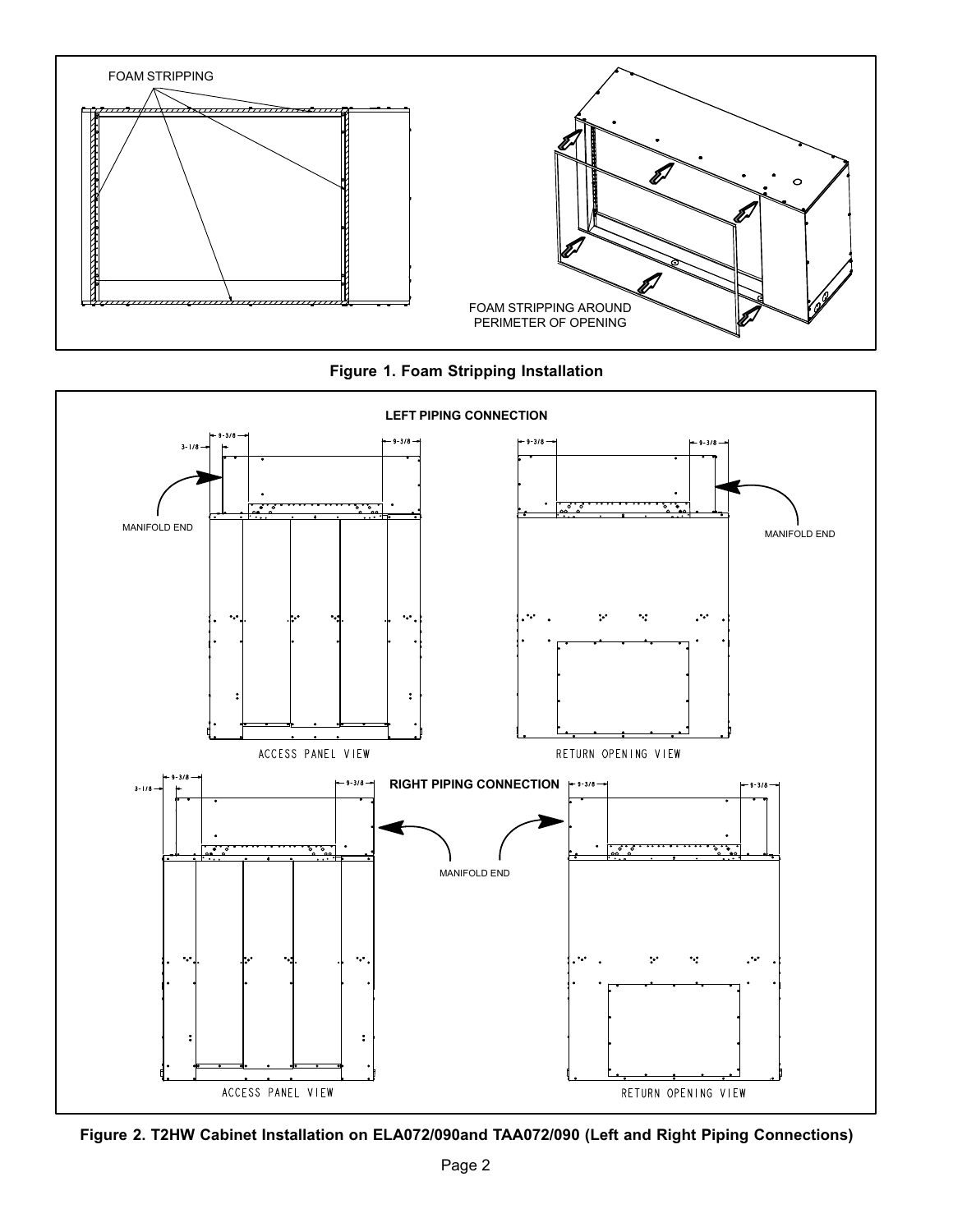

**Figure 1. Foam Stripping Installation**



**Figure 2. T2HW Cabinet Installation on ELA072/090and TAA072/090 (Left and Right Piping Connections)**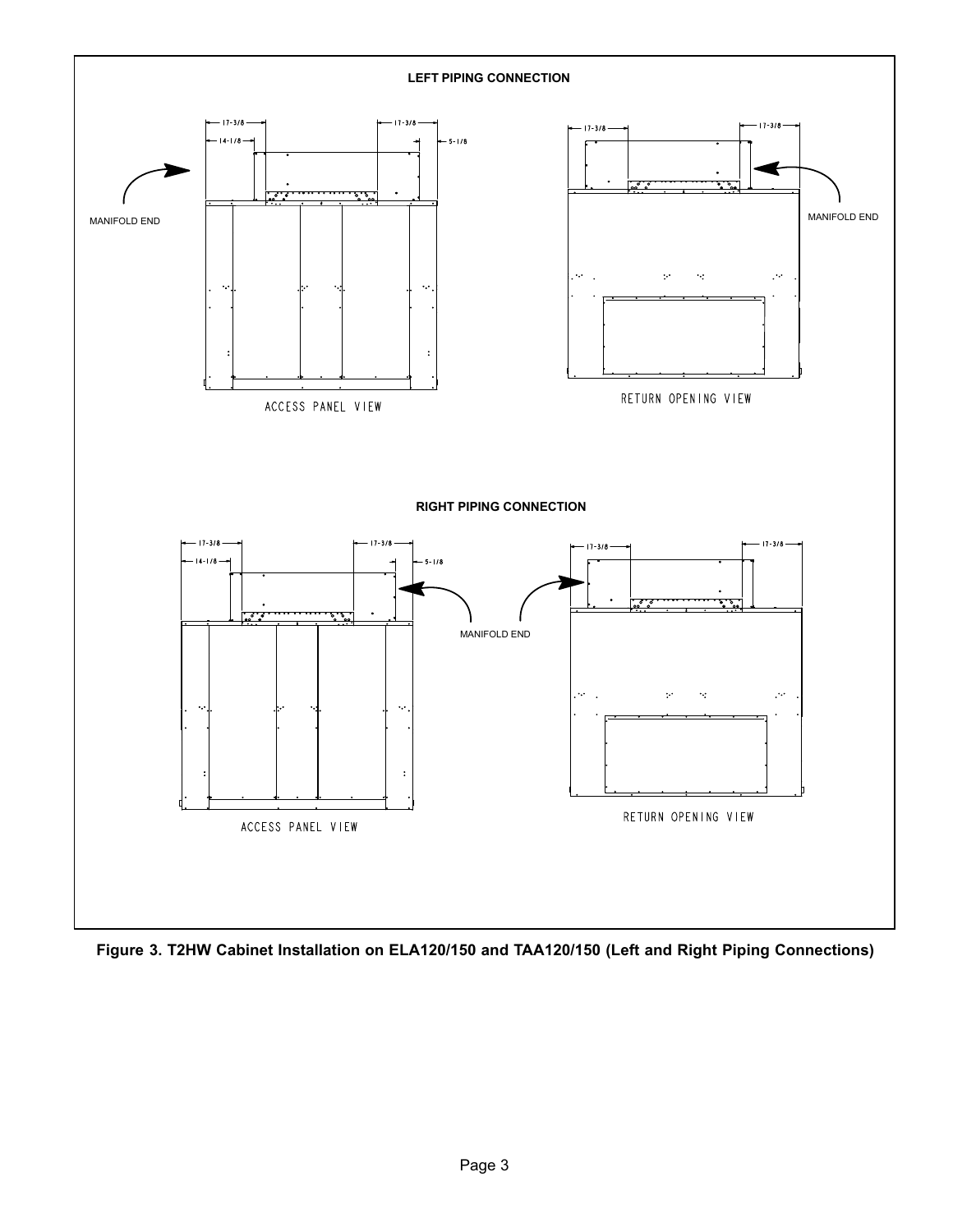